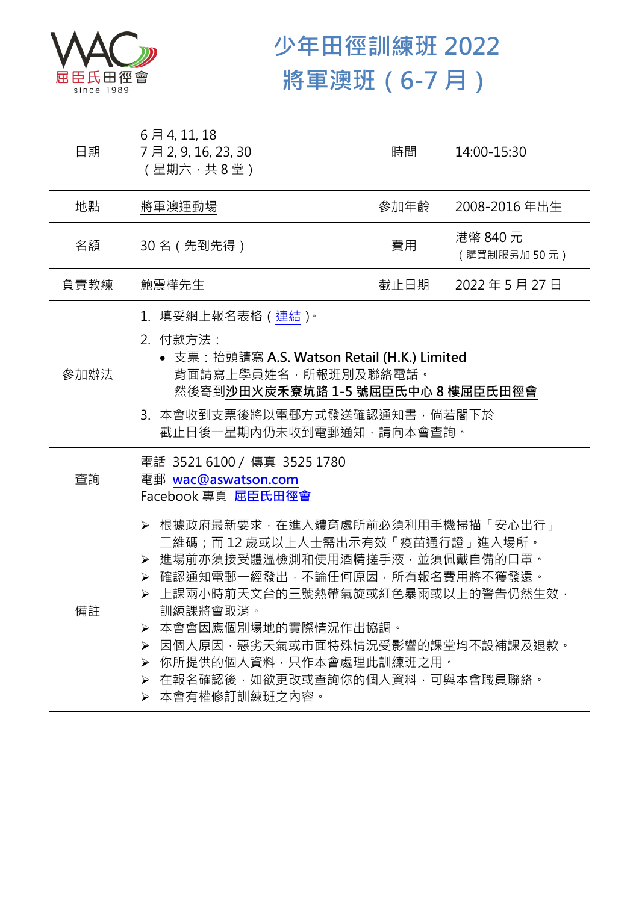

## **少年田徑訓練班 2022 將軍澳班(6-7 月)**

| 日期   | 6月4,11,18<br>7月2,9,16,23,30<br>(星期六,共8堂)                                                                                                                                                                                                                                                                                                               | 時間   | 14:00-15:30             |  |
|------|--------------------------------------------------------------------------------------------------------------------------------------------------------------------------------------------------------------------------------------------------------------------------------------------------------------------------------------------------------|------|-------------------------|--|
| 地點   | 將軍澳運動場                                                                                                                                                                                                                                                                                                                                                 | 參加年齡 | 2008-2016年出生            |  |
| 名額   | 30 名(先到先得)                                                                                                                                                                                                                                                                                                                                             | 費用   | 港幣 840 元<br>(購買制服另加50元) |  |
| 負責教練 | 鮑震樺先生                                                                                                                                                                                                                                                                                                                                                  | 截止日期 | 2022年5月27日              |  |
| 參加辦法 | 1.填妥網上報名表格(連結) <sup>。</sup><br>2. 付款方法:<br>• 支票: 抬頭請寫 A.S. Watson Retail (H.K.) Limited<br>背面請寫上學員姓名, 所報班別及聯絡電話。<br>然後寄到沙田火炭禾寮坑路 1-5 號屈臣氏中心 8 樓屈臣氏田徑會<br>3. 本會收到支票後將以電郵方式發送確認通知書,倘若閣下於<br>截止日後一星期內仍未收到電郵通知,請向本會查詢。                                                                                                                                     |      |                         |  |
| 查詢   | 電話 3521 6100 / 傳真 3525 1780<br>電郵 wac@aswatson.com<br>Facebook 專頁 屈臣氏田徑會                                                                                                                                                                                                                                                                               |      |                         |  |
| 備註   | ▶ 根據政府最新要求,在進入體育處所前必須利用手機掃描「安心出行」<br>二維碼;而 12 歳或以上人士需出示有效「疫苗通行證」進入場所。<br>> 進場前亦須接受體溫檢測和使用酒精搓手液·並須佩戴自備的口罩。<br>▶ 確認通知電郵一經發出,不論任何原因,所有報名費用將不獲發還。<br>上課兩小時前天文台的三號熱帶氣旋或紅色暴雨或以上的警告仍然生效,<br>訓練課將會取消。<br>本會會因應個別場地的實際情況作出協調。<br>➤<br>因個人原因,惡劣天氣或市面特殊情況受影響的課堂均不設補課及退款。<br>➤<br>> 你所提供的個人資料,只作本會處理此訓練班之用。<br>▶ 在報名確認後,如欲更改或查詢你的個人資料,可與本會職員聯絡。<br>▶ 本會有權修訂訓練班之內容。 |      |                         |  |